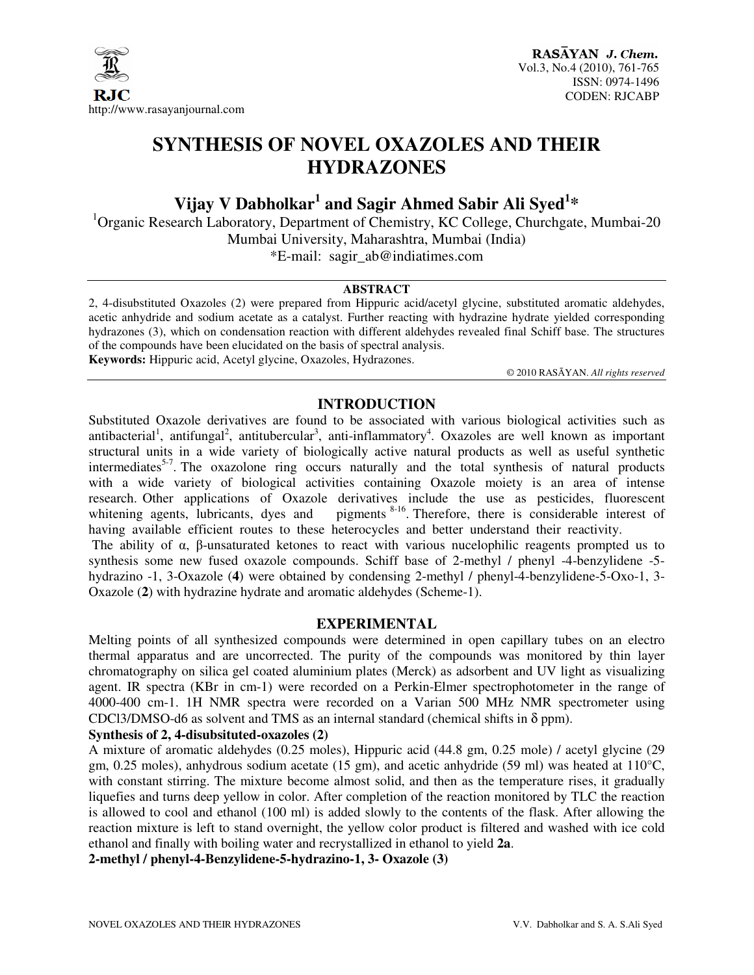

# **SYNTHESIS OF NOVEL OXAZOLES AND THEIR HYDRAZONES**

**Vijay V Dabholkar<sup>1</sup> and Sagir Ahmed Sabir Ali Syed<sup>1</sup> \*** 

 $1$ Organic Research Laboratory, Department of Chemistry, KC College, Churchgate, Mumbai-20 Mumbai University, Maharashtra, Mumbai (India) \*E-mail: sagir\_ab@indiatimes.com

#### **ABSTRACT**

2, 4-disubstituted Oxazoles (2) were prepared from Hippuric acid/acetyl glycine, substituted aromatic aldehydes, acetic anhydride and sodium acetate as a catalyst. Further reacting with hydrazine hydrate yielded corresponding hydrazones (3), which on condensation reaction with different aldehydes revealed final Schiff base. The structures of the compounds have been elucidated on the basis of spectral analysis. **Keywords:** Hippuric acid, Acetyl glycine, Oxazoles, Hydrazones.

© 2010 RASĀYAN. *All rights reserved*

# **INTRODUCTION**

Substituted Oxazole derivatives are found to be associated with various biological activities such as antibacterial<sup>1</sup>, antifungal<sup>2</sup>, antitubercular<sup>3</sup>, anti-inflammatory<sup>4</sup>. Oxazoles are well known as important structural units in a wide variety of biologically active natural products as well as useful synthetic intermediates<sup>5-7</sup>. The oxazolone ring occurs naturally and the total synthesis of natural products with a wide variety of biological activities containing Oxazole moiety is an area of intense research. Other applications of Oxazole derivatives include the use as pesticides, fluorescent whitening agents, lubricants, dyes and pigments<sup>8-16</sup>. Therefore, there is considerable interest of pigments  $8-16$ . Therefore, there is considerable interest of having available efficient routes to these heterocycles and better understand their reactivity.

The ability of  $\alpha$ ,  $\beta$ -unsaturated ketones to react with various nucelophilic reagents prompted us to synthesis some new fused oxazole compounds. Schiff base of 2-methyl / phenyl -4-benzylidene -5 hydrazino -1, 3-Oxazole (**4**) were obtained by condensing 2-methyl / phenyl-4-benzylidene-5-Oxo-1, 3- Oxazole (**2**) with hydrazine hydrate and aromatic aldehydes (Scheme-1).

#### **EXPERIMENTAL**

Melting points of all synthesized compounds were determined in open capillary tubes on an electro thermal apparatus and are uncorrected. The purity of the compounds was monitored by thin layer chromatography on silica gel coated aluminium plates (Merck) as adsorbent and UV light as visualizing agent. IR spectra (KBr in cm-1) were recorded on a Perkin-Elmer spectrophotometer in the range of 4000-400 cm-1. 1H NMR spectra were recorded on a Varian 500 MHz NMR spectrometer using CDCl3/DMSO-d6 as solvent and TMS as an internal standard (chemical shifts in δ ppm).

#### **Synthesis of 2, 4-disubsituted-oxazoles (2)**

A mixture of aromatic aldehydes (0.25 moles), Hippuric acid (44.8 gm, 0.25 mole) / acetyl glycine (29 gm, 0.25 moles), anhydrous sodium acetate (15 gm), and acetic anhydride (59 ml) was heated at 110°C, with constant stirring. The mixture become almost solid, and then as the temperature rises, it gradually liquefies and turns deep yellow in color. After completion of the reaction monitored by TLC the reaction is allowed to cool and ethanol (100 ml) is added slowly to the contents of the flask. After allowing the reaction mixture is left to stand overnight, the yellow color product is filtered and washed with ice cold ethanol and finally with boiling water and recrystallized in ethanol to yield **2a**.

**2-methyl / phenyl-4-Benzylidene-5-hydrazino-1, 3- Oxazole (3)**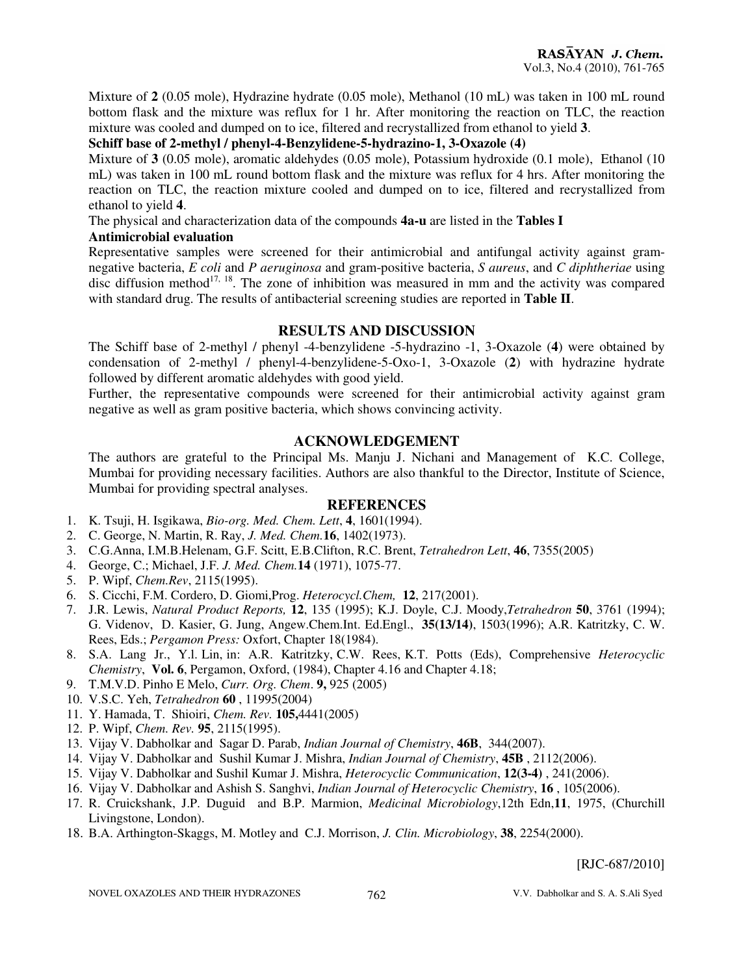Mixture of **2** (0.05 mole), Hydrazine hydrate (0.05 mole), Methanol (10 mL) was taken in 100 mL round bottom flask and the mixture was reflux for 1 hr. After monitoring the reaction on TLC, the reaction mixture was cooled and dumped on to ice, filtered and recrystallized from ethanol to yield **3**.

# **Schiff base of 2-methyl / phenyl-4-Benzylidene-5-hydrazino-1, 3-Oxazole (4)**

Mixture of **3** (0.05 mole), aromatic aldehydes (0.05 mole), Potassium hydroxide (0.1 mole), Ethanol (10 mL) was taken in 100 mL round bottom flask and the mixture was reflux for 4 hrs. After monitoring the reaction on TLC, the reaction mixture cooled and dumped on to ice, filtered and recrystallized from ethanol to yield **4**.

The physical and characterization data of the compounds **4a-u** are listed in the **Tables I**

## **Antimicrobial evaluation**

Representative samples were screened for their antimicrobial and antifungal activity against gramnegative bacteria, *E coli* and *P aeruginosa* and gram-positive bacteria, *S aureus*, and *C diphtheriae* using disc diffusion method<sup>17, 18</sup>. The zone of inhibition was measured in mm and the activity was compared with standard drug. The results of antibacterial screening studies are reported in **Table II**.

## **RESULTS AND DISCUSSION**

The Schiff base of 2-methyl / phenyl -4-benzylidene -5-hydrazino -1, 3-Oxazole (**4**) were obtained by condensation of 2-methyl / phenyl-4-benzylidene-5-Oxo-1, 3-Oxazole (**2**) with hydrazine hydrate followed by different aromatic aldehydes with good yield.

Further, the representative compounds were screened for their antimicrobial activity against gram negative as well as gram positive bacteria, which shows convincing activity.

# **ACKNOWLEDGEMENT**

The authors are grateful to the Principal Ms. Manju J. Nichani and Management of K.C. College, Mumbai for providing necessary facilities. Authors are also thankful to the Director, Institute of Science, Mumbai for providing spectral analyses.

#### **REFERENCES**

- 1. K. Tsuji, H. Isgikawa, *Bio-org. Med. Chem. Lett*, **4**, 1601(1994).
- 2. C. George, N. Martin, R. Ray, *J. Med. Chem.***16**, 1402(1973).
- 3. C.G.Anna, I.M.B.Helenam, G.F. Scitt, E.B.Clifton, R.C. Brent, *Tetrahedron Lett*, **46**, 7355(2005)
- 4. George, C.; Michael, J.F. *J. Med. Chem.***14** (1971), 1075-77.
- 5. P. Wipf, *Chem.Rev*, 2115(1995).
- 6. S. Cicchi, F.M. Cordero, D. Giomi,Prog. *Heterocycl.Chem,* **12**, 217(2001).
- 7. J.R. Lewis, *Natural Product Reports,* **12**, 135 (1995); K.J. Doyle, C.J. Moody,*Tetrahedron* **50**, 3761 (1994); G. Videnov, D. Kasier, G. Jung, Angew.Chem.Int. Ed.Engl., **35(13/14)**, 1503(1996); A.R. Katritzky, C. W. Rees, Eds.; *Pergamon Press:* Oxfort, Chapter 18(1984).
- 8. S.A. Lang Jr., Y.l. Lin, in: A.R. Katritzky, C.W. Rees, K.T. Potts (Eds), Comprehensive *Heterocyclic Chemistry*, **Vol. 6**, Pergamon, Oxford, (1984), Chapter 4.16 and Chapter 4.18;
- 9. T.M.V.D. Pinho E Melo, *Curr. Org. Chem*. **9,** 925 (2005)
- 10. V.S.C. Yeh, *Tetrahedron* **60** , 11995(2004)
- 11. Y. Hamada, T. Shioiri, *Chem. Rev.* **105,**4441(2005)
- 12. P. Wipf, *Chem. Rev.* **95**, 2115(1995).
- 13. Vijay V. Dabholkar and Sagar D. Parab, *Indian Journal of Chemistry*, **46B**, 344(2007).
- 14. Vijay V. Dabholkar and Sushil Kumar J. Mishra, *Indian Journal of Chemistry*, **45B** , 2112(2006).
- 15. Vijay V. Dabholkar and Sushil Kumar J. Mishra, *Heterocyclic Communication*, **12(3-4)** , 241(2006).
- 16. Vijay V. Dabholkar and Ashish S. Sanghvi, *Indian Journal of Heterocyclic Chemistry*, **16** , 105(2006).
- 17. R. Cruickshank, J.P. Duguid and B.P. Marmion, *Medicinal Microbiology*,12th Edn,**11**, 1975, (Churchill Livingstone, London).
- 18. B.A. Arthington-Skaggs, M. Motley and C.J. Morrison, *J. Clin. Microbiology*, **38**, 2254(2000).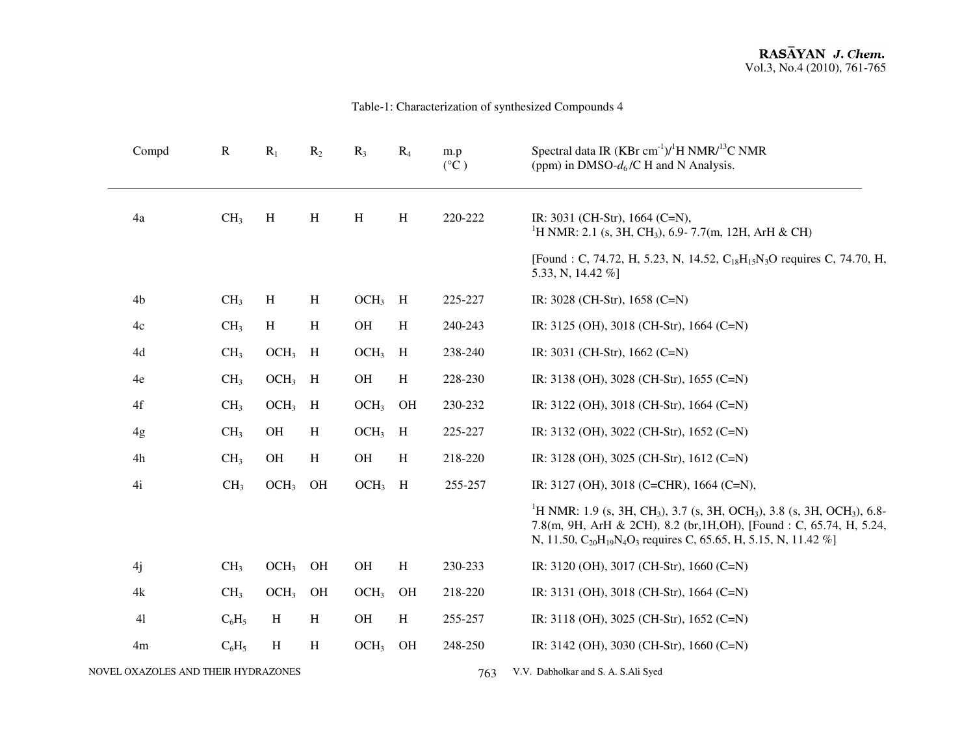## Table-1: Characterization of synthesized Compounds 4

| Compd                               | ${\bf R}$       | $R_1$            | $R_2$        | $R_3$            | $R_4$        | m.p<br>$(^{\circ}C)$ | Spectral data IR $(KBr \text{ cm}^{-1})/{}^{1}H NMR/{}^{13}C NMR$<br>(ppm) in DMSO- $d_6$ /C H and N Analysis.                                                                                                                                                                                                     |
|-------------------------------------|-----------------|------------------|--------------|------------------|--------------|----------------------|--------------------------------------------------------------------------------------------------------------------------------------------------------------------------------------------------------------------------------------------------------------------------------------------------------------------|
| 4a                                  | CH <sub>3</sub> | H                | H            | H                | H            | 220-222              | IR: 3031 (CH-Str), 1664 (C=N),<br><sup>1</sup> H NMR: 2.1 (s, 3H, CH <sub>3</sub> ), 6.9-7.7(m, 12H, ArH & CH)                                                                                                                                                                                                     |
|                                     |                 |                  |              |                  |              |                      | [Found : C, 74.72, H, 5.23, N, 14.52, C <sub>18</sub> H <sub>15</sub> N <sub>3</sub> O requires C, 74.70, H,<br>5.33, N, 14.42 %]                                                                                                                                                                                  |
| 4b                                  | CH <sub>3</sub> | H                | H            | $OCH3$ H         |              | 225-227              | IR: 3028 (CH-Str), 1658 (C=N)                                                                                                                                                                                                                                                                                      |
| 4c                                  | CH <sub>3</sub> | H                | H            | OH               | $\, {\rm H}$ | 240-243              | IR: 3125 (OH), 3018 (CH-Str), 1664 (C=N)                                                                                                                                                                                                                                                                           |
| 4d                                  | CH <sub>3</sub> | $OCH3$ H         |              | OCH <sub>3</sub> | H            | 238-240              | IR: 3031 (CH-Str), 1662 (C=N)                                                                                                                                                                                                                                                                                      |
| 4e                                  | CH <sub>3</sub> | $OCH3$ H         |              | OH               | $\, {\rm H}$ | 228-230              | IR: 3138 (OH), 3028 (CH-Str), 1655 (C=N)                                                                                                                                                                                                                                                                           |
| 4f                                  | CH <sub>3</sub> | OCH <sub>3</sub> | H            | OCH <sub>3</sub> | OH           | 230-232              | IR: 3122 (OH), 3018 (CH-Str), 1664 (C=N)                                                                                                                                                                                                                                                                           |
| 4g                                  | CH <sub>3</sub> | <b>OH</b>        | H            | OCH <sub>3</sub> | H            | 225-227              | IR: 3132 (OH), 3022 (CH-Str), 1652 (C=N)                                                                                                                                                                                                                                                                           |
| 4h                                  | CH <sub>3</sub> | $\rm OH$         | $\, {\rm H}$ | OH               | $\, {\rm H}$ | 218-220              | IR: 3128 (OH), 3025 (CH-Str), 1612 (C=N)                                                                                                                                                                                                                                                                           |
| 4i                                  | CH <sub>3</sub> | OCH <sub>3</sub> | OH           | OCH <sub>3</sub> | H            | 255-257              | IR: 3127 (OH), 3018 (C=CHR), 1664 (C=N),                                                                                                                                                                                                                                                                           |
|                                     |                 |                  |              |                  |              |                      | <sup>1</sup> H NMR: 1.9 (s, 3H, CH <sub>3</sub> ), 3.7 (s, 3H, OCH <sub>3</sub> ), 3.8 (s, 3H, OCH <sub>3</sub> ), 6.8-<br>7.8(m, 9H, ArH & 2CH), 8.2 (br, 1H, OH), [Found : C, 65.74, H, 5.24,<br>N, 11.50, C <sub>20</sub> H <sub>19</sub> N <sub>4</sub> O <sub>3</sub> requires C, 65.65, H, 5.15, N, 11.42 %] |
| 4j                                  | CH <sub>3</sub> | OCH <sub>3</sub> | OH           | <b>OH</b>        | H            | 230-233              | IR: 3120 (OH), 3017 (CH-Str), 1660 (C=N)                                                                                                                                                                                                                                                                           |
| 4k                                  | CH <sub>3</sub> | OCH <sub>3</sub> | OH           | OCH <sub>3</sub> | OH           | 218-220              | IR: 3131 (OH), 3018 (CH-Str), 1664 (C=N)                                                                                                                                                                                                                                                                           |
| 41                                  | $C_6H_5$        | H                | H            | OH               | H            | 255-257              | IR: 3118 (OH), 3025 (CH-Str), 1652 (C=N)                                                                                                                                                                                                                                                                           |
| 4m                                  | $C_6H_5$        | H                | H            | OCH <sub>3</sub> | OH           | 248-250              | IR: 3142 (OH), 3030 (CH-Str), 1660 (C=N)                                                                                                                                                                                                                                                                           |
| NOVEL OXAZOLES AND THEIR HYDRAZONES |                 |                  |              |                  |              | 763                  | V.V. Dabholkar and S. A. S.Ali Syed                                                                                                                                                                                                                                                                                |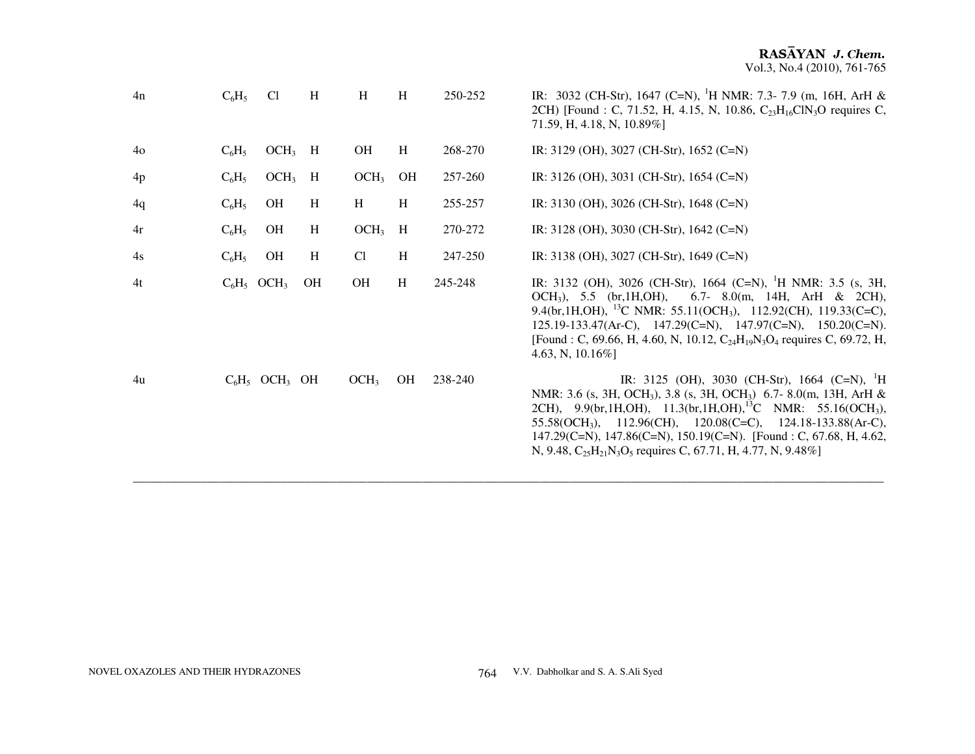| 4n             | $C_6H_5$ | C <sub>1</sub>               | H  | H                | H  | 250-252 | IR: 3032 (CH-Str), 1647 (C=N), <sup>1</sup> H NMR: 7.3-7.9 (m, 16H, ArH &<br>2CH) [Found : C, 71.52, H, 4.15, N, 10.86, C <sub>23</sub> H <sub>16</sub> ClN <sub>3</sub> O requires C,<br>71.59, H, 4.18, N, 10.89%]                                                                                                                                                                                                                                                    |
|----------------|----------|------------------------------|----|------------------|----|---------|-------------------------------------------------------------------------------------------------------------------------------------------------------------------------------------------------------------------------------------------------------------------------------------------------------------------------------------------------------------------------------------------------------------------------------------------------------------------------|
| 4 <sub>o</sub> | $C_6H_5$ | $OCH3$ H                     |    | <b>OH</b>        | H  | 268-270 | IR: 3129 (OH), 3027 (CH-Str), 1652 (C=N)                                                                                                                                                                                                                                                                                                                                                                                                                                |
| 4p             | $C_6H_5$ | $OCH3$ H                     |    | OCH <sub>3</sub> | OH | 257-260 | IR: 3126 (OH), 3031 (CH-Str), 1654 (C=N)                                                                                                                                                                                                                                                                                                                                                                                                                                |
| 4q             | $C_6H_5$ | <b>OH</b>                    | H  | H                | H  | 255-257 | IR: 3130 (OH), 3026 (CH-Str), 1648 (C=N)                                                                                                                                                                                                                                                                                                                                                                                                                                |
| 4r             | $C_6H_5$ | <b>OH</b>                    | H  | $OCH3$ H         |    | 270-272 | IR: 3128 (OH), 3030 (CH-Str), 1642 (C=N)                                                                                                                                                                                                                                                                                                                                                                                                                                |
| 4s             | $C_6H_5$ | <b>OH</b>                    | H  | Cl               | H  | 247-250 | IR: 3138 (OH), 3027 (CH-Str), 1649 (C=N)                                                                                                                                                                                                                                                                                                                                                                                                                                |
| 4t             |          | $C_6H_5$ OCH <sub>3</sub>    | OH | OH               | H  | 245-248 | IR: 3132 (OH), 3026 (CH-Str), 1664 (C=N), <sup>1</sup> H NMR: 3.5 (s, 3H,<br>$OCH_3$ , 5.5 (br, 1H, OH),<br>6.7- 8.0(m, 14H, ArH & 2CH),<br>9.4(br, 1H, OH), <sup>13</sup> C NMR: 55.11(OCH <sub>3</sub> ), 112.92(CH), 119.33(C=C),<br>$125.19 - 133.47(Ar-C), \quad 147.29(C=N), \quad 147.97(C=N), \quad 150.20(C=N).$<br>[Found : C, 69.66, H, 4.60, N, 10.12, $C_{24}H_{19}N_3O_4$ requires C, 69.72, H,<br>4.63, N, $10.16\%$ ]                                   |
| 4u             |          | $C_6H_5$ OCH <sub>3</sub> OH |    | OCH <sub>3</sub> | OH | 238-240 | IR: 3125 (OH), 3030 (CH-Str), 1664 (C=N), <sup>1</sup> H<br>NMR: 3.6 (s, 3H, OCH <sub>3</sub> ), 3.8 (s, 3H, OCH <sub>3</sub> ) 6.7-8.0(m, 13H, ArH &<br>2CH), 9.9(br, 1H, OH), 11.3(br, 1H, OH), <sup>13</sup> C NMR: 55.16(OCH <sub>3</sub> ),<br>$55.58(OCH_3)$ , $112.96(CH)$ , $120.08(C=C)$ , $124.18-133.88(Ar-C)$ ,<br>147.29(C=N), 147.86(C=N), 150.19(C=N). [Found : C, 67.68, H, 4.62,<br>N, 9.48, $C_{25}H_{21}N_3O_5$ requires C, 67.71, H, 4.77, N, 9.48% |